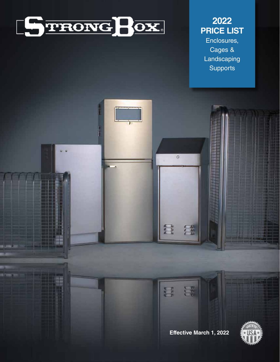

# **2022 PRICE LIST**  Enclosures, Cages & **Landscaping Supports**

 $\circ$ 

 $\begin{bmatrix} 1 \\ 1 \\ 2 \\ 3 \end{bmatrix}$ 

 $\sum_{i=1}^{p}$ 

霉

 $\frac{1}{2}$ 

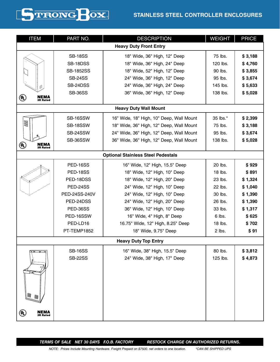# **STAINLESS STEEL CONTROLLER ENCLOSURES**



| <b>ITEM</b>                                                       | PART NO.         | <b>DESCRIPTION</b>                        | <b>WEIGHT</b> | <b>PRICE</b> |  |  |
|-------------------------------------------------------------------|------------------|-------------------------------------------|---------------|--------------|--|--|
| <b>Heavy Duty Front Entry</b>                                     |                  |                                           |               |              |  |  |
|                                                                   | <b>SB-18SS</b>   | 18" Wide, 36" High, 12" Deep              | 75 lbs.       | \$3,188      |  |  |
|                                                                   | SB-18DSS         | 18" Wide, 36" High, 24" Deep              | 120 lbs.      | \$4,760      |  |  |
|                                                                   | <b>SB-1852SS</b> | 18" Wide, 52" High, 12" Deep              | 90 lbs.       | \$3,855      |  |  |
|                                                                   | <b>SB-24SS</b>   | 24" Wide, 36" High, 12" Deep              | 95 lbs.       | \$3,674      |  |  |
|                                                                   | SB-24DSS         | 24" Wide, 36" High, 24" Deep              | 145 lbs.      | \$5,633      |  |  |
|                                                                   | <b>SB-36SS</b>   | 36" Wide, 36" High, 12" Deep              | 138 lbs.      | \$5,028      |  |  |
| ⋓<br><b>NEMA</b><br>3R Rated                                      |                  |                                           |               |              |  |  |
|                                                                   |                  | <b>Heavy Duty Wall Mount</b>              |               |              |  |  |
|                                                                   | SB-16SSW         | 16" Wide, 18" High, 10" Deep, Wall Mount  | 35 lbs.*      | \$2,399      |  |  |
| $\mathbb{Z}$                                                      | SB-18SSW         | 18" Wide, 36" High, 12" Deep, Wall Mount  | 75 lbs.       | \$3,188      |  |  |
|                                                                   | SB-24SSW         | 24" Wide, 36" High, 12" Deep, Wall Mount  | 95 lbs.       | \$3,674      |  |  |
|                                                                   | SB-36SSW         | 36" Wide, 36" High, 12" Deep, Wall Mount  | 138 lbs.      | \$5,028      |  |  |
| ⋓<br><b>NEMA</b><br>3R Rated                                      |                  |                                           |               |              |  |  |
|                                                                   |                  | <b>Optional Stainless Steel Pedestals</b> |               |              |  |  |
|                                                                   | <b>PED-16SS</b>  | 16" Wide, 12" High, 15.5" Deep            | 20 lbs.       | \$929        |  |  |
|                                                                   | <b>PED-18SS</b>  | 18" Wide, 12" High, 10" Deep              | 18 lbs.       | \$891        |  |  |
|                                                                   | PED-18DSS        | 18" Wide, 12" High, 20" Deep              | 23 lbs.       | \$1,324      |  |  |
|                                                                   | <b>PED-24SS</b>  | 24" Wide, 12" High, 10" Deep              | 22 lbs.       | \$1,040      |  |  |
|                                                                   | PED-24SS-240V    | 24" Wide, 12" High, 10" Deep              | 30 lbs.       | \$1,390      |  |  |
|                                                                   | PED-24DSS        | 24" Wide, 12" High, 20" Deep              | 26 lbs.       | \$1,390      |  |  |
|                                                                   | PED-36SS         | 36" Wide, 12" High, 10" Deep              | 33 lbs.       | \$1,317      |  |  |
|                                                                   | PED-16SSW        | 16" Wide, 4" High, 8" Deep                | 6 lbs.        | \$625        |  |  |
|                                                                   | PED-LD16         | 16.75" Wide, 12" High, 8.25" Deep         | 18 lbs.       | \$702        |  |  |
|                                                                   | PT-TEMP1852      | 18" Wide, 9.75" Deep                      | 2 lbs.        | \$91         |  |  |
|                                                                   |                  | <b>Heavy Duty Top Entry</b>               |               |              |  |  |
| - 6                                                               | <b>SB-16SS</b>   | 16" Wide, 38" High, 15.5" Deep            | 80 lbs.       | \$3,812      |  |  |
|                                                                   | <b>SB-22SS</b>   | 24" Wide, 38" High, 17" Deep              | 125 lbs.      | \$4,873      |  |  |
|                                                                   |                  |                                           |               |              |  |  |
| Lei                                                               |                  |                                           |               |              |  |  |
|                                                                   |                  |                                           |               |              |  |  |
| S<br>W                                                            |                  |                                           |               |              |  |  |
|                                                                   |                  |                                           |               |              |  |  |
| NEMA<br>$\overset{(\mathsf{U}_\mathsf{L})}{=}$<br><b>3R Rated</b> |                  |                                           |               |              |  |  |
|                                                                   |                  |                                           |               |              |  |  |

*TERMS OF SALE NET 30 DAYS F.O.B. FACTORY RESTOCK CHARGE ON AUTHORIZED RETURNS.*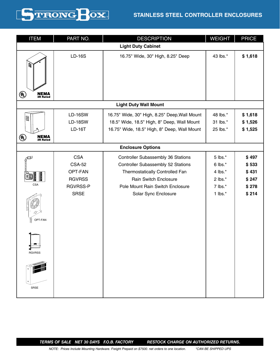

# **STAINLESS STEEL CONTROLLER ENCLOSURES**

| <b>ITEM</b>                                                            | PART NO.                                                                           | <b>DESCRIPTION</b>                                                                                                                                                                                      | <b>WEIGHT</b>                                                                  | <b>PRICE</b>                                       |  |  |  |
|------------------------------------------------------------------------|------------------------------------------------------------------------------------|---------------------------------------------------------------------------------------------------------------------------------------------------------------------------------------------------------|--------------------------------------------------------------------------------|----------------------------------------------------|--|--|--|
|                                                                        | <b>Light Duty Cabinet</b>                                                          |                                                                                                                                                                                                         |                                                                                |                                                    |  |  |  |
| W,                                                                     | <b>LD-16S</b>                                                                      | 16.75" Wide, 30" High, 8.25" Deep                                                                                                                                                                       | 43 lbs.*                                                                       | \$1,618                                            |  |  |  |
| $\textcircled{\tiny{l}}$<br><b>NEMA</b><br>3R Rated                    |                                                                                    |                                                                                                                                                                                                         |                                                                                |                                                    |  |  |  |
|                                                                        |                                                                                    | <b>Light Duty Wall Mount</b>                                                                                                                                                                            |                                                                                |                                                    |  |  |  |
| $000\,$<br>$\textcircled{\tiny{l}}$<br><b>NEMA</b><br>3R Rated         | <b>LD-16SW</b><br><b>LD-18SW</b><br><b>LD-16T</b>                                  | 16.75" Wide, 30" High, 8.25" Deep, Wall Mount<br>18.5" Wide, 18.5" High, 8" Deep, Wall Mount<br>16.75" Wide, 18.5" High, 8" Deep, Wall Mount                                                            | 48 lbs.*<br>31 lbs.*<br>25 lbs.*                                               | \$1,618<br>\$1,526<br>\$1,525                      |  |  |  |
|                                                                        |                                                                                    | <b>Enclosure Options</b>                                                                                                                                                                                |                                                                                |                                                    |  |  |  |
| $\not\in$<br>$\lbrack 0\text{ }x]$<br><b>CSA</b><br>:٥<br>冒<br>OPT-FAN | <b>CSA</b><br><b>CSA-52</b><br>OPT-FAN<br><b>RGVRSS</b><br>RGVRSS-P<br><b>SRSE</b> | <b>Controller Subassembly 36 Stations</b><br>Controller Subassembly 52 Stations<br>Thermostatically Controlled Fan<br>Rain Switch Enclosure<br>Pole Mount Rain Switch Enclosure<br>Solar Sync Enclosure | 5 lbs.*<br>$6$ lbs. $*$<br>4 lbs. $*$<br>$2$ lbs. $*$<br>7 lbs.*<br>1 lbs. $*$ | \$497<br>\$533<br>\$431<br>\$247<br>\$278<br>\$214 |  |  |  |
| <b>RGVRSS</b><br><b>SRSE</b>                                           |                                                                                    |                                                                                                                                                                                                         |                                                                                |                                                    |  |  |  |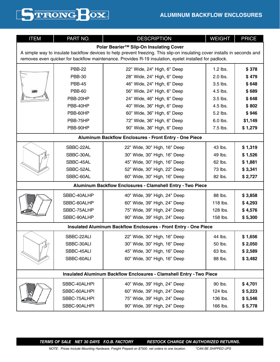| k en v<br><b>THE REA</b> |
|--------------------------|
|--------------------------|

| <b>ITEM</b>                                                                                                               | PART NO.      | <b>DESCRIPTION</b>                                                          | <b>WEIGHT</b> | <b>PRICE</b> |  |  |
|---------------------------------------------------------------------------------------------------------------------------|---------------|-----------------------------------------------------------------------------|---------------|--------------|--|--|
| Polar Bearier <sup>™</sup> Slip-On Insulating Cover                                                                       |               |                                                                             |               |              |  |  |
| A simple way to insulate backflow devices to help prevent freezing. This slip-on insulating cover installs in seconds and |               |                                                                             |               |              |  |  |
| removes even quicker for backflow maintenance. Provides R-19 insulation, eyelet installed for padlock.                    |               |                                                                             |               |              |  |  |
|                                                                                                                           | <b>PBB-22</b> | 22" Wide, 24" High, 6" Deep                                                 | 1.2 lbs.      | \$378        |  |  |
|                                                                                                                           | <b>PBB-30</b> | 28" Wide, 24" High, 6" Deep                                                 | 2.0 lbs.      | \$479        |  |  |
|                                                                                                                           | <b>PBB-45</b> | 46" Wide, 24" High, 6" Deep                                                 | 3.5 lbs.      | \$648        |  |  |
|                                                                                                                           | <b>PBB-60</b> | 56" Wide, 24" High, 6" Deep                                                 | 4.5 lbs.      | \$689        |  |  |
|                                                                                                                           | PBB-20HP      | 24" Wide, 46" High, 6" Deep                                                 | 3.5 lbs.      | \$648        |  |  |
|                                                                                                                           | PBB-40HP      | 40" Wide, 36" High, 6" Deep                                                 | 4.5 lbs.      | \$802        |  |  |
|                                                                                                                           | PBB-60HP      | 60" Wide, 36" High, 6" Deep                                                 | 5.2 lbs.      | \$946        |  |  |
|                                                                                                                           | PBB-75HP      | 72" Wide, 36" High, 6" Deep                                                 | 6.0 lbs.      | \$1,149      |  |  |
|                                                                                                                           | PBB-90HP      | 90" Wide, 36" High, 6" Deep                                                 | 7.5 lbs.      | \$1,279      |  |  |
|                                                                                                                           |               | Aluminum Backflow Enclosures - Front Entry - One Piece                      |               |              |  |  |
|                                                                                                                           | SBBC-22AL     | 22" Wide, 30" High, 16" Deep                                                | 43 lbs.       | \$1,319      |  |  |
|                                                                                                                           | SBBC-30AL     | 30" Wide, 30" High, 16" Deep                                                | 49 lbs.       | \$1,526      |  |  |
|                                                                                                                           | SBBC-45AL     | 45" Wide, 30" High, 16" Deep                                                | 62 lbs.       | \$1,881      |  |  |
|                                                                                                                           | SBBC-52AL     | 52" Wide, 30" High, 22" Deep                                                | 73 lbs.       | \$3,341      |  |  |
|                                                                                                                           | SBBC-60AL     | 60" Wide, 30" High, 16" Deep                                                | 82 lbs.       | \$2,727      |  |  |
| Aluminum Backflow Enclosures - Clamshell Entry - Two Piece                                                                |               |                                                                             |               |              |  |  |
|                                                                                                                           | SBBC-40ALHP   | 40" Wide, 39" High, 24" Deep                                                | 88 lbs.       | \$3,858      |  |  |
|                                                                                                                           | SBBC-60ALHP   | 60" Wide, 39" High, 24" Deep                                                | 118 lbs.      | \$4,293      |  |  |
|                                                                                                                           | SBBC-75ALHP   | 75" Wide, 39" High, 24" Deep                                                | 128 lbs.      | \$4,576      |  |  |
|                                                                                                                           | SBBC-90ALHP   | 90" Wide, 39" High, 24" Deep                                                | 158 lbs.      | \$5,300      |  |  |
|                                                                                                                           |               | <b>Insulated Aluminum Backflow Enclosures - Front Entry - One Piece</b>     |               |              |  |  |
|                                                                                                                           | SBBC-22ALI    | 22" Wide, 30" High, 16" Deep                                                | 44 lbs.       | \$1,656      |  |  |
|                                                                                                                           | SBBC-30ALI    | 30" Wide, 30" High, 16" Deep                                                | 50 lbs.       | \$2,050      |  |  |
|                                                                                                                           | SBBC-45ALI    | 45" Wide, 30" High, 16" Deep                                                | 63 lbs.       | \$2,589      |  |  |
|                                                                                                                           | SBBC-60ALI    | 60" Wide, 30" High, 16" Deep                                                | 88 lbs.       | \$3,482      |  |  |
|                                                                                                                           |               |                                                                             |               |              |  |  |
|                                                                                                                           |               | <b>Insulated Aluminum Backflow Enclosures - Clamshell Entry - Two Piece</b> |               |              |  |  |
|                                                                                                                           | SBBC-40ALHPI  | 40" Wide, 39" High, 24" Deep                                                | 90 lbs.       | \$4,701      |  |  |
|                                                                                                                           | SBBC-60ALHPI  | 60" Wide, 39" High, 24" Deep                                                | 124 lbs.      | \$5,223      |  |  |
|                                                                                                                           | SBBC-75ALHPI  | 75" Wide, 39" High, 24" Deep                                                | 136 lbs.      | \$5,546      |  |  |
|                                                                                                                           | SBBC-90ALHPI  | 90" Wide, 39" High, 24" Deep                                                | 166 lbs.      | \$5,778      |  |  |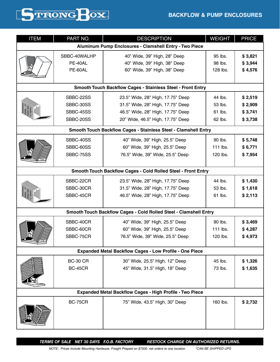# **BACKFLOW & PUMP ENCLOSURES**



| <b>ITEM</b>                                                        | PART NO.        | <b>DESCRIPTION</b>                                                     | <b>WEIGHT</b> | <b>PRICE</b> |  |  |
|--------------------------------------------------------------------|-----------------|------------------------------------------------------------------------|---------------|--------------|--|--|
|                                                                    |                 | Aluminum Pump Enclosures - Clamshell Entry - Two Piece                 |               |              |  |  |
|                                                                    | SBBC-40WALHP    | 40" Wide, 39" High, 28" Deep                                           | 95 lbs.       | \$3,821      |  |  |
|                                                                    | PE-40AL         | 40" Wide, 39" High, 38" Deep                                           | 98 lbs.       | \$3,944      |  |  |
|                                                                    | PE-60AL         | 60" Wide, 39" High, 38" Deep                                           | 128 lbs.      | \$4,576      |  |  |
|                                                                    |                 |                                                                        |               |              |  |  |
| <b>Smooth Touch Backflow Cages - Stainless Steel - Front Entry</b> |                 |                                                                        |               |              |  |  |
|                                                                    | SBBC-22SS       | 23.5" Wide, 28" High, 17.75" Deep                                      | 44 lbs.       | \$2,519      |  |  |
|                                                                    | SBBC-30SS       | 31.5" Wide, 28" High, 17.75" Deep                                      | 53 lbs.       | \$2,909      |  |  |
|                                                                    | SBBC-45SS       | 46.5" Wide, 28" High, 17.75" Deep                                      | 61 lbs.       | \$3,741      |  |  |
|                                                                    | SBBC-20SS       | 20" Wide, 46.5" High, 17.75" Deep                                      | 62 lbs.       | \$3,738      |  |  |
|                                                                    |                 | <b>Smooth Touch Backflow Cages - Stainless Steel - Clamshell Entry</b> |               |              |  |  |
|                                                                    | SBBC-40SS       | 40" Wide, 39" High, 25.5" Deep                                         | 90 lbs.       | \$5,748      |  |  |
|                                                                    | SBBC-60SS       | 60" Wide, 39" High, 25.5" Deep                                         | 111 lbs.      | \$6,771      |  |  |
|                                                                    | SBBC-75SS       | 76.5" Wide, 39" Wide, 25.5" Deep                                       | 120 lbs.      | \$7,954      |  |  |
|                                                                    |                 |                                                                        |               |              |  |  |
| Smooth Touch Backflow Cages - Cold Rolled Steel - Front Entry      |                 |                                                                        |               |              |  |  |
|                                                                    | SBBC-22CR       | 23.5" Wide, 28" High, 17.75" Deep                                      | 44 lbs.       | \$1,430      |  |  |
|                                                                    | SBBC-30CR       | 31.5" Wide, 28" High, 17.75" Deep                                      | 53 lbs.       | \$1,618      |  |  |
|                                                                    | SBBC-45CR       | 46.5" Wide, 28" High, 17.75" Deep                                      | 61 lbs.       | \$2,113      |  |  |
|                                                                    |                 |                                                                        |               |              |  |  |
|                                                                    |                 | Smooth Touch Backflow Cages - Cold Rolled Steel - Clamshell Entry      |               |              |  |  |
|                                                                    | SBBC-40CR       | 40" Wide, 39" High, 25.5" Deep                                         | 90 lbs.       | \$3,469      |  |  |
|                                                                    | SBBC-60CR       | 60" Wide, 39" High, 25.5" Deep                                         | 111 lbs.      | \$4,287      |  |  |
|                                                                    | SBBC-75CR       | 76.5" Wide, 39" Wide, 25.5" Deep                                       | 120 lbs.      | \$4,973      |  |  |
|                                                                    |                 |                                                                        |               |              |  |  |
|                                                                    |                 | <b>Expanded Metal Backflow Cages - Low Profile - One Piece</b>         |               |              |  |  |
|                                                                    | <b>BC-30 CR</b> | 30" Wide, 25.5" High, 12" Deep                                         | 45 lbs.       | \$1,326      |  |  |
|                                                                    | <b>BC-45CR</b>  | 45" Wide, 31.5" High, 18" Deep                                         | 73 lbs.       | \$1,635      |  |  |
|                                                                    |                 |                                                                        |               |              |  |  |
|                                                                    |                 | <b>Expanded Metal Backflow Cages - High Profile - Two Piece</b>        |               |              |  |  |
|                                                                    | <b>BC-75CR</b>  | 75" Wide, 43.5" High, 30" Deep                                         | 160 lbs.      | \$2,732      |  |  |
|                                                                    |                 |                                                                        |               |              |  |  |
|                                                                    |                 |                                                                        |               |              |  |  |
|                                                                    |                 |                                                                        |               |              |  |  |
|                                                                    |                 |                                                                        |               |              |  |  |

*TERMS OF SALE NET 30 DAYS F.O.B. FACTORY RESTOCK CHARGE ON AUTHORIZED RETURNS.*

*NOTE: Prices Include Mounting Hardware. Freight Prepaid on \$7500. net orders to one location. \*CAN BE SHIPPED UPS*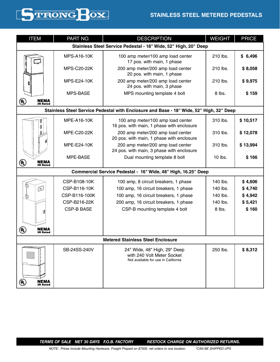# **STAINLESS STEEL METERED PEDESTALS**



| <b>ITEM</b>                                                                    | PART NO.                                                        | <b>DESCRIPTION</b>                                                                                | <b>WEIGHT</b> | <b>PRICE</b> |  |  |
|--------------------------------------------------------------------------------|-----------------------------------------------------------------|---------------------------------------------------------------------------------------------------|---------------|--------------|--|--|
|                                                                                | Stainless Steel Service Pedestal - 18" Wide, 52" High, 20" Deep |                                                                                                   |               |              |  |  |
|                                                                                | <b>MPS-A16-10K</b>                                              | 100 amp meter/100 amp load center<br>17 pos. with main, 1 phase                                   | 210 lbs.      | \$6,496      |  |  |
|                                                                                | <b>MPS-C20-22K</b>                                              | 200 amp meter/200 amp load center<br>20 pos. with main, 1 phase                                   | 210 lbs.      | \$8,058      |  |  |
|                                                                                | <b>MPS-E24-10K</b>                                              | 200 amp meter/200 amp load center<br>24 pos. with main, 3 phase                                   | 210 lbs.      | \$9,975      |  |  |
|                                                                                | <b>MPS-BASE</b><br>MPS mounting template 4 bolt                 |                                                                                                   | 8 lbs.        | \$159        |  |  |
| $\left(\!\rule{0pt}{10pt}\right.\!^{\rm u})$<br><b>NEMA</b><br><b>3R Rated</b> |                                                                 |                                                                                                   |               |              |  |  |
|                                                                                |                                                                 | Stainless Steel Service Pedestal with Enclosure and Base - 18" Wide, 52" High, 32" Deep           |               |              |  |  |
|                                                                                | <b>MPE-A16-10K</b>                                              | 100 amp meter/100 amp load center<br>16 pos. with main, 1 phase with enclosure                    | 310 lbs.      | \$10,517     |  |  |
|                                                                                | <b>MPE-C20-22K</b>                                              | 200 amp meter/200 amp load center<br>20 pos. with main, 1 phase with enclosure                    | 310 lbs.      | \$12,078     |  |  |
|                                                                                | <b>MPE-E24-10K</b>                                              | 200 amp meter/200 amp load center<br>24 pos. with main, 3 phase with enclosure                    | 310 lbs.      | \$13,994     |  |  |
| <b>NEMA</b><br>(U)<br><b>3R Rated</b>                                          | MPE-BASE                                                        | Dual mounting template 8 bolt                                                                     | $10$ lbs.     | \$166        |  |  |
|                                                                                |                                                                 | Commercial Service Pedestal - 16" Wide, 48" High, 16.25" Deep                                     |               |              |  |  |
|                                                                                | CSP-B108-10K                                                    | 100 amp, 8 circuit breakers, 1 phase                                                              | 140 lbs.      | \$4,606      |  |  |
| ud<br>冟                                                                        | CSP-B116-10K                                                    | 100 amp, 16 circuit breakers, 1 phase                                                             | 140 lbs.      | \$4,740      |  |  |
| $\mathbb{Z}$                                                                   | CSP-B116-100K                                                   | 100 amp, 16 circuit breakers, 1 phase                                                             | 140 lbs.      | \$4,942      |  |  |
|                                                                                | CSP-B216-22K                                                    | 200 amp, 16 circuit breakers, 1 phase                                                             | 140 lbs.      | \$5,421      |  |  |
| Ø                                                                              | <b>CSP-B BASE</b>                                               | CSP-B mounting template 4 bolt                                                                    | 8 lbs.        | \$160        |  |  |
| (VL)<br>NEMA<br><b>3R Rated</b>                                                |                                                                 |                                                                                                   |               |              |  |  |
|                                                                                |                                                                 | <b>Metered Stainless Steel Enclosure</b>                                                          |               |              |  |  |
|                                                                                | SB-24SS-240V                                                    | 24" Wide, 48" High, 29" Deep<br>with 240 Volt Meter Socket<br>Not available for use in California | 250 lbs.      | \$8,312      |  |  |
| <b>NEMA</b><br>3R Rated<br>(VL)                                                |                                                                 |                                                                                                   |               |              |  |  |

*TERMS OF SALE NET 30 DAYS F.O.B. FACTORY RESTOCK CHARGE ON AUTHORIZED RETURNS.*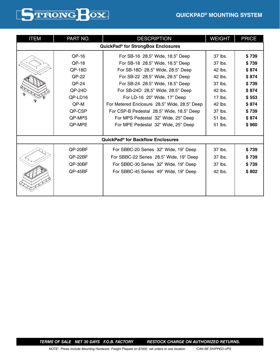

| <b>ITEM</b>                                    | PART NO.                                                                                                                                                     | <b>DESCRIPTION</b>                                  | <b>WEIGHT</b> | <b>PRICE</b> |  |  |  |
|------------------------------------------------|--------------------------------------------------------------------------------------------------------------------------------------------------------------|-----------------------------------------------------|---------------|--------------|--|--|--|
| QuickPad <sup>®</sup> for StrongBox Enclosures |                                                                                                                                                              |                                                     |               |              |  |  |  |
|                                                | $QP-16$                                                                                                                                                      | For SB-16 28.5" Wide, 18.5" Deep                    | 37 lbs.       | \$739        |  |  |  |
|                                                | QP-18                                                                                                                                                        | For SB-18 28.5" Wide, 18.5" Deep                    | 37 lbs.       | \$739        |  |  |  |
|                                                | $QP-18D$                                                                                                                                                     | For SB-18D 28.5" Wide, 28.5" Deep                   | 42 lbs.       | \$874        |  |  |  |
|                                                | <b>OP-22</b>                                                                                                                                                 | For SB-22 28.5" Wide, 28.5" Deep                    | 42 lbs.       | \$874        |  |  |  |
|                                                | QP-24                                                                                                                                                        | For SB-24 28.5" Wide, 18.5" Deep                    | 37 lbs.       | \$739        |  |  |  |
|                                                | $QP-24D$                                                                                                                                                     | For SB-24D 28.5" Wide, 28.5" Deep                   | 42 lbs.       | \$874        |  |  |  |
|                                                | QP-LD16                                                                                                                                                      | For LD-16 20" Wide, 17" Deep                        | $17$ lbs.     | \$553        |  |  |  |
|                                                | QP-M                                                                                                                                                         | For Metered Enclosure 28.5" Wide, 28.5" Deep        | 42 lbs.       | \$874        |  |  |  |
|                                                | QP-CSP<br>For CSP-B Pedestal 28.5" Wide, 18.5" Deep<br><b>QP-MPS</b><br>For MPS Pedestal 32" Wide, 25" Deep<br>QP-MPE<br>For MPE Pedestal 32" Wide, 25" Deep |                                                     | 37 lbs.       | \$739        |  |  |  |
|                                                |                                                                                                                                                              |                                                     | 51 lbs.       | \$874        |  |  |  |
|                                                |                                                                                                                                                              |                                                     | 51 lbs.       | \$960        |  |  |  |
|                                                |                                                                                                                                                              |                                                     |               |              |  |  |  |
|                                                |                                                                                                                                                              | <b>QuickPad<sup>®</sup> for Backflow Enclosures</b> |               |              |  |  |  |
|                                                | QP-20BF                                                                                                                                                      | For SBBC-20 Series 32" Wide, 19" Deep               | 37 lbs.       | \$739        |  |  |  |
|                                                | QP-22BF                                                                                                                                                      | For SBBC-22 Series 28.5" Wide, 19" Deep             | 37 lbs.       | \$739        |  |  |  |
|                                                | QP-30BF                                                                                                                                                      | For SBBC-30 Series 32" Wide, 19" Deep               | 37 lbs.       | \$739        |  |  |  |
|                                                | QP-45BF                                                                                                                                                      | For SBBC-45 Series 49" Wide, 19" Deep               | 42 lbs.       | \$802        |  |  |  |
|                                                |                                                                                                                                                              |                                                     |               |              |  |  |  |
|                                                |                                                                                                                                                              |                                                     |               |              |  |  |  |
|                                                |                                                                                                                                                              |                                                     |               |              |  |  |  |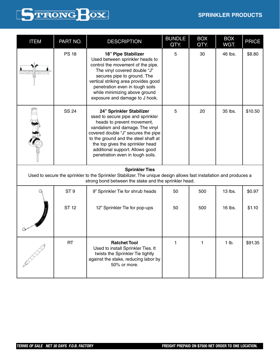### **SPRINKLER PRODUCTS**



| <b>ITEM</b> | PART NO.        | <b>DESCRIPTION</b>                                                                                                                                                                                                                                                                                                       | <b>BUNDLE</b><br>QTY. | <b>BOX</b><br>QTY. | <b>BOX</b><br>WGT. | <b>PRICE</b> |
|-------------|-----------------|--------------------------------------------------------------------------------------------------------------------------------------------------------------------------------------------------------------------------------------------------------------------------------------------------------------------------|-----------------------|--------------------|--------------------|--------------|
|             | <b>PS 18</b>    | <b>18" Pipe Stabilizer</b><br>Used between sprinkler heads to<br>control the movement of the pipe.<br>The vinyl covered double "J"<br>secures pipe to ground. The<br>vertical striking area provides good<br>penetration even in tough soils<br>while minimizing above ground<br>exposure and damage to J hook.          | 5                     | 30                 | 46 lbs.            | \$8.80       |
|             | <b>SS 24</b>    | 24" Sprinkler Stabilizer<br>used to secure pipe and sprinkler<br>heads to prevent movement,<br>vandalism and damage. The vinyl<br>covered double "J" secures the pipe<br>to the ground and the steel shaft at<br>the top gives the sprinkler head<br>additional support. Allows good<br>penetration even in tough soils. | 5                     | 20                 | 35 lbs.            | \$10.50      |
|             |                 | <b>Sprinkler Ties</b><br>Used to secure the sprinkler to the Sprinkler Stabilizer. The unique design allows fast installation and produces a<br>strong bond between the stake and the sprinkler head.                                                                                                                    |                       |                    |                    |              |
|             | ST <sub>9</sub> | 9" Sprinkler Tie for shrub heads                                                                                                                                                                                                                                                                                         | 50                    | 500                | 13 lbs.            | \$0.97       |
|             | <b>ST 12</b>    | 12" Sprinkler Tie for pop-ups                                                                                                                                                                                                                                                                                            | 50                    | 500                | 16 lbs.            | \$1.10       |
|             | <b>RT</b>       | <b>Ratchet Tool</b><br>Used to install Sprinkler Ties. It<br>twists the Sprinkler Tie tightly<br>against the stake, reducing labor by<br>50% or more.                                                                                                                                                                    | 1                     | 1                  | 1 lb.              | \$91.35      |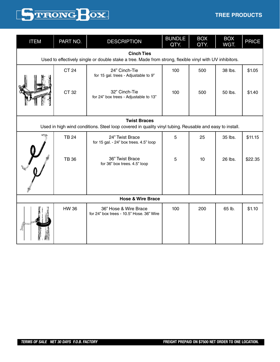### **TREE PRODUCTS**



| <b>ITEM</b>                                                                                                                  | PART NO.                                                                                                                       | <b>DESCRIPTION</b>                                                                        | <b>BUNDLE</b><br>QTY. | <b>BOX</b><br>QTY. | <b>BOX</b><br>WGT. | <b>PRICE</b> |
|------------------------------------------------------------------------------------------------------------------------------|--------------------------------------------------------------------------------------------------------------------------------|-------------------------------------------------------------------------------------------|-----------------------|--------------------|--------------------|--------------|
| <b>Cinch Ties</b><br>Used to effectively single or double stake a tree. Made from strong, flexible vinyl with UV inhibitors. |                                                                                                                                |                                                                                           |                       |                    |                    |              |
|                                                                                                                              | <b>CT 24</b>                                                                                                                   | 24" Cinch-Tie<br>for 15 gal. trees - Adjustable to 9"                                     | 100                   | 500                | 38 lbs.            | \$1.05       |
|                                                                                                                              | CT 32                                                                                                                          | 32" Cinch-Tie<br>for 24" box trees - Adjustable to 13"                                    | 100                   | 500                | 50 lbs.            | \$1.40       |
|                                                                                                                              | <b>Twist Braces</b><br>Used in high wind conditions. Steel loop covered in quality vinyl tubing. Reusable and easy to install. |                                                                                           |                       |                    |                    |              |
|                                                                                                                              | <b>TB 24</b>                                                                                                                   | 24" Twist Brace                                                                           | 5                     | 25                 | 35 lbs.            | \$11.15      |
|                                                                                                                              | <b>TB 36</b>                                                                                                                   | for 15 gal. - 24" box trees. 4.5" loop<br>36" Twist Brace<br>for 36" box trees. 4.5" loop | 5                     | 10                 | 26 lbs.            | \$22.35      |
|                                                                                                                              |                                                                                                                                | <b>Hose &amp; Wire Brace</b>                                                              |                       |                    |                    |              |
|                                                                                                                              | <b>HW 36</b>                                                                                                                   | 36" Hose & Wire Brace<br>for 24" box trees - 10.5" Hose. 36" Wire                         | 100                   | 200                | 65 lb.             | \$1.10       |